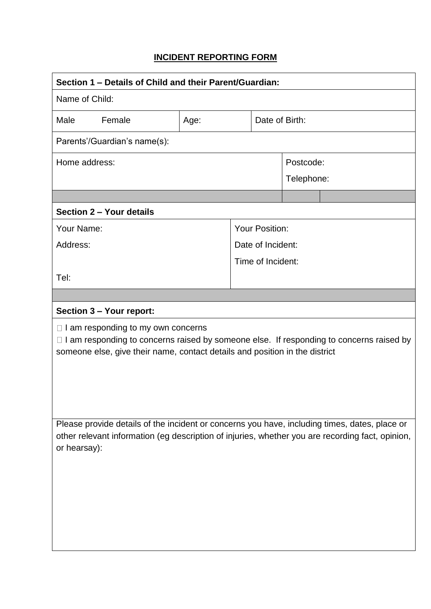## **INCIDENT REPORTING FORM**

| Section 1 – Details of Child and their Parent/Guardian:                                                                                                                                                                    |      |  |                       |                |  |  |
|----------------------------------------------------------------------------------------------------------------------------------------------------------------------------------------------------------------------------|------|--|-----------------------|----------------|--|--|
| Name of Child:                                                                                                                                                                                                             |      |  |                       |                |  |  |
| Male<br>Female                                                                                                                                                                                                             | Age: |  |                       | Date of Birth: |  |  |
| Parents'/Guardian's name(s):                                                                                                                                                                                               |      |  |                       |                |  |  |
| Home address:                                                                                                                                                                                                              |      |  | Postcode:             |                |  |  |
|                                                                                                                                                                                                                            |      |  |                       | Telephone:     |  |  |
|                                                                                                                                                                                                                            |      |  |                       |                |  |  |
| Section 2 - Your details                                                                                                                                                                                                   |      |  |                       |                |  |  |
| Your Name:                                                                                                                                                                                                                 |      |  | <b>Your Position:</b> |                |  |  |
| Address:                                                                                                                                                                                                                   |      |  | Date of Incident:     |                |  |  |
|                                                                                                                                                                                                                            |      |  | Time of Incident:     |                |  |  |
| Tel:                                                                                                                                                                                                                       |      |  |                       |                |  |  |
|                                                                                                                                                                                                                            |      |  |                       |                |  |  |
| Section 3 - Your report:                                                                                                                                                                                                   |      |  |                       |                |  |  |
| $\Box$ I am responding to my own concerns<br>$\Box$ I am responding to concerns raised by someone else. If responding to concerns raised by<br>someone else, give their name, contact details and position in the district |      |  |                       |                |  |  |
| Please provide details of the incident or concerns you have, including times, dates, place or<br>other relevant information (eg description of injuries, whether you are recording fact, opinion,<br>or hearsay):          |      |  |                       |                |  |  |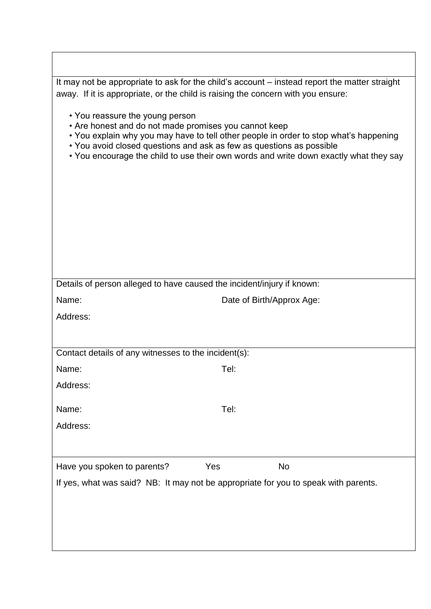|                                                                                                                                                                  |                                                                                  | It may not be appropriate to ask for the child's account – instead report the matter straight                                                                                  |  |  |  |
|------------------------------------------------------------------------------------------------------------------------------------------------------------------|----------------------------------------------------------------------------------|--------------------------------------------------------------------------------------------------------------------------------------------------------------------------------|--|--|--|
|                                                                                                                                                                  | away. If it is appropriate, or the child is raising the concern with you ensure: |                                                                                                                                                                                |  |  |  |
| • You reassure the young person<br>• Are honest and do not made promises you cannot keep<br>• You avoid closed questions and ask as few as questions as possible |                                                                                  | • You explain why you may have to tell other people in order to stop what's happening<br>• You encourage the child to use their own words and write down exactly what they say |  |  |  |
| Details of person alleged to have caused the incident/injury if known:                                                                                           |                                                                                  |                                                                                                                                                                                |  |  |  |
| Name:                                                                                                                                                            |                                                                                  | Date of Birth/Approx Age:                                                                                                                                                      |  |  |  |
| Address:                                                                                                                                                         |                                                                                  |                                                                                                                                                                                |  |  |  |
|                                                                                                                                                                  |                                                                                  |                                                                                                                                                                                |  |  |  |
| Contact details of any witnesses to the incident(s):                                                                                                             |                                                                                  |                                                                                                                                                                                |  |  |  |
| Name:                                                                                                                                                            | Tel:                                                                             |                                                                                                                                                                                |  |  |  |
| Address:                                                                                                                                                         |                                                                                  |                                                                                                                                                                                |  |  |  |
|                                                                                                                                                                  |                                                                                  |                                                                                                                                                                                |  |  |  |
| Name:                                                                                                                                                            | Tel:                                                                             |                                                                                                                                                                                |  |  |  |
| Address:                                                                                                                                                         |                                                                                  |                                                                                                                                                                                |  |  |  |
| Have you spoken to parents?                                                                                                                                      | Yes                                                                              | <b>No</b>                                                                                                                                                                      |  |  |  |
|                                                                                                                                                                  |                                                                                  | If yes, what was said? NB: It may not be appropriate for you to speak with parents.                                                                                            |  |  |  |
|                                                                                                                                                                  |                                                                                  |                                                                                                                                                                                |  |  |  |
|                                                                                                                                                                  |                                                                                  |                                                                                                                                                                                |  |  |  |
|                                                                                                                                                                  |                                                                                  |                                                                                                                                                                                |  |  |  |
|                                                                                                                                                                  |                                                                                  |                                                                                                                                                                                |  |  |  |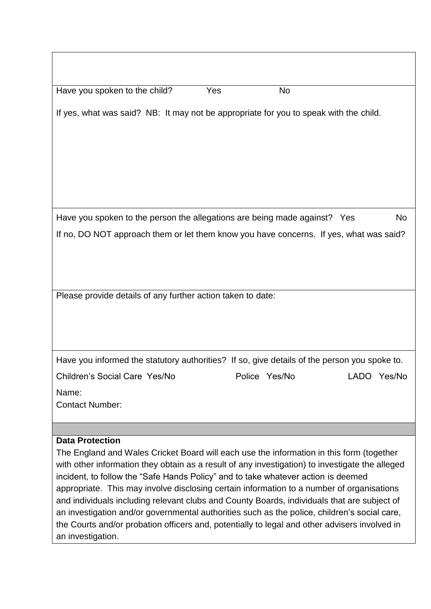Have you spoken to the child? Yes No

If yes, what was said? NB: It may not be appropriate for you to speak with the child.

Have you spoken to the person the allegations are being made against? Yes No If no, DO NOT approach them or let them know you have concerns. If yes, what was said?

Please provide details of any further action taken to date:

| Have you informed the statutory authorities? If so, give details of the person you spoke to. |  |  |  |
|----------------------------------------------------------------------------------------------|--|--|--|
|                                                                                              |  |  |  |
|                                                                                              |  |  |  |

Children's Social Care Yes/No Police Yes/No LADO Yes/No Name: Contact Number:

## **Data Protection**

The England and Wales Cricket Board will each use the information in this form (together with other information they obtain as a result of any investigation) to investigate the alleged incident, to follow the "Safe Hands Policy" and to take whatever action is deemed appropriate. This may involve disclosing certain information to a number of organisations and individuals including relevant clubs and County Boards, individuals that are subject of an investigation and/or governmental authorities such as the police, children's social care, the Courts and/or probation officers and, potentially to legal and other advisers involved in an investigation.